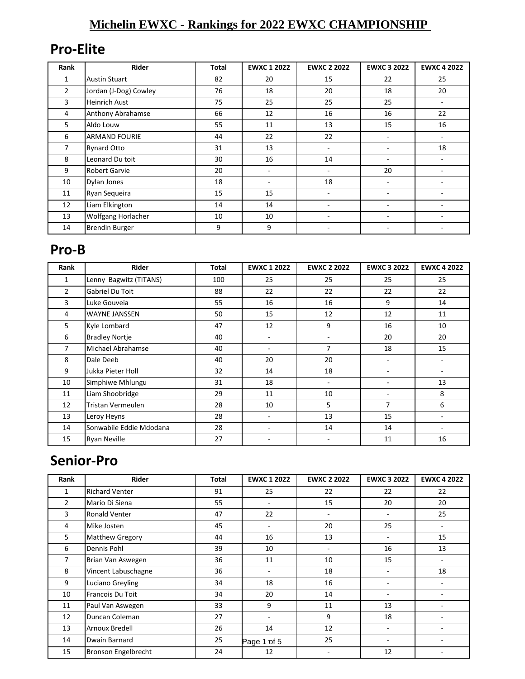#### **Michelin EWXC - Rankings for 2022 EWXC CHAMPIONSHIP**

#### **Pro-Elite**

| Rank           | <b>Rider</b>          | <b>Total</b> | <b>EWXC 1 2022</b> | <b>EWXC 2 2022</b> | <b>EWXC 3 2022</b>       | <b>EWXC 4 2022</b> |
|----------------|-----------------------|--------------|--------------------|--------------------|--------------------------|--------------------|
| 1              | <b>Austin Stuart</b>  | 82           | 20                 | 15                 | 22                       | 25                 |
| $\overline{2}$ | Jordan (J-Dog) Cowley | 76           | 18                 | 20                 | 18                       | 20                 |
| 3              | <b>Heinrich Aust</b>  | 75           | 25                 | 25                 | 25                       | ۰                  |
| 4              | Anthony Abrahamse     | 66           | 12                 | 16                 | 16                       | 22                 |
| 5              | Aldo Louw             | 55           | 11                 | 13                 | 15                       | 16                 |
| 6              | <b>ARMAND FOURIE</b>  | 44           | 22                 | 22                 |                          |                    |
| 7              | Rynard Otto           | 31           | 13                 |                    |                          | 18                 |
| 8              | Leonard Du toit       | 30           | 16                 | 14                 |                          |                    |
| 9              | <b>Robert Garvie</b>  | 20           | ٠                  |                    | 20                       |                    |
| 10             | Dylan Jones           | 18           | ۰                  | 18                 |                          |                    |
| 11             | Ryan Sequeira         | 15           | 15                 |                    | $\overline{\phantom{a}}$ |                    |
| 12             | Liam Elkington        | 14           | 14                 |                    |                          |                    |
| 13             | Wolfgang Horlacher    | 10           | 10                 |                    | $\overline{\phantom{a}}$ |                    |
| 14             | <b>Brendin Burger</b> | 9            | 9                  |                    |                          |                    |

#### **Pro-B**

| Rank           | Rider                   | Total | <b>EWXC 1 2022</b> | <b>EWXC 2 2022</b> | <b>EWXC 3 2022</b> | <b>EWXC 4 2022</b> |
|----------------|-------------------------|-------|--------------------|--------------------|--------------------|--------------------|
| 1              | Lenny Bagwitz (TITANS)  | 100   | 25                 | 25                 | 25                 | 25                 |
| $\overline{2}$ | Gabriel Du Toit         | 88    | 22                 | 22                 | 22                 | 22                 |
| 3              | Luke Gouveia            | 55    | 16                 | 16                 | 9                  | 14                 |
| 4              | <b>WAYNE JANSSEN</b>    | 50    | 15                 | 12                 | 12                 | 11                 |
| 5.             | Kyle Lombard            | 47    | 12                 | 9                  | 16                 | 10                 |
| 6              | <b>Bradley Nortje</b>   | 40    | ٠                  | ٠                  | 20                 | 20                 |
| 7              | Michael Abrahamse       | 40    |                    | $\overline{7}$     | 18                 | 15                 |
| 8              | Dale Deeb               | 40    | 20                 | 20                 | ۰                  | ۰                  |
| 9              | Jukka Pieter Holl       | 32    | 14                 | 18                 |                    |                    |
| 10             | Simphiwe Mhlungu        | 31    | 18                 | ۰                  |                    | 13                 |
| 11             | Liam Shoobridge         | 29    | 11                 | 10                 |                    | 8                  |
| 12             | Tristan Vermeulen       | 28    | 10                 | 5                  | $\overline{7}$     | 6                  |
| 13             | Leroy Heyns             | 28    |                    | 13                 | 15                 |                    |
| 14             | Sonwabile Eddie Mdodana | 28    |                    | 14                 | 14                 |                    |
| 15             | <b>Ryan Neville</b>     | 27    |                    |                    | 11                 | 16                 |

## **Senior-Pro**

| Rank           | Rider                      | <b>Total</b> | <b>EWXC 1 2022</b>       | <b>EWXC 2 2022</b> | <b>EWXC 3 2022</b>       | <b>EWXC 4 2022</b> |
|----------------|----------------------------|--------------|--------------------------|--------------------|--------------------------|--------------------|
| 1              | <b>Richard Venter</b>      | 91           | 25                       | 22                 | 22                       | 22                 |
| $\overline{2}$ | Mario Di Siena             | 55           | $\overline{\phantom{a}}$ | 15                 | 20                       | 20                 |
| 3              | <b>Ronald Venter</b>       | 47           | 22                       |                    | $\overline{\phantom{a}}$ | 25                 |
| 4              | Mike Josten                | 45           | $\overline{\phantom{a}}$ | 20                 | 25                       | Ξ.                 |
| 5              | Matthew Gregory            | 44           | 16                       | 13                 | $\overline{\phantom{a}}$ | 15                 |
| 6              | Dennis Pohl                | 39           | 10                       |                    | 16                       | 13                 |
| 7              | Brian Van Aswegen          | 36           | 11                       | 10                 | 15                       | ٠                  |
| 8              | Vincent Labuschagne        | 36           | $\overline{\phantom{a}}$ | 18                 | $\overline{\phantom{a}}$ | 18                 |
| 9              | Luciano Greyling           | 34           | 18                       | 16                 | $\overline{\phantom{a}}$ |                    |
| 10             | Francois Du Toit           | 34           | 20                       | 14                 | ٠                        |                    |
| 11             | Paul Van Aswegen           | 33           | 9                        | 11                 | 13                       |                    |
| 12             | Duncan Coleman             | 27           | $\overline{\phantom{a}}$ | 9                  | 18                       |                    |
| 13             | Arnoux Bredell             | 26           | 14                       | 12                 | ٠                        |                    |
| 14             | Dwain Barnard              | 25           | Page 1 of 5              | 25                 | $\overline{\phantom{a}}$ |                    |
| 15             | <b>Bronson Engelbrecht</b> | 24           | 12                       |                    | 12                       |                    |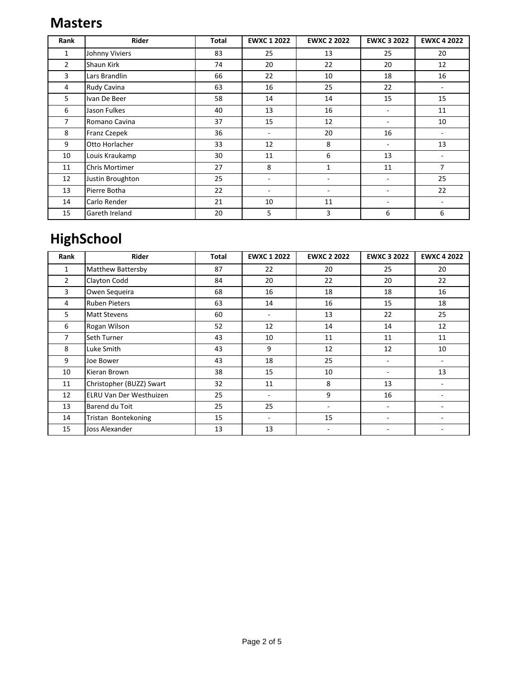#### **Masters**

| Rank           | <b>Rider</b>     | Total | <b>EWXC 1 2022</b>       | <b>EWXC 2 2022</b> | <b>EWXC 3 2022</b> | <b>EWXC 4 2022</b>       |
|----------------|------------------|-------|--------------------------|--------------------|--------------------|--------------------------|
| 1              | Johnny Viviers   | 83    | 25                       | 13                 | 25                 | 20                       |
| $\overline{2}$ | Shaun Kirk       | 74    | 20                       | 22                 | 20                 | 12                       |
| 3              | Lars Brandlin    | 66    | 22                       | 10                 | 18                 | 16                       |
| 4              | Rudy Cavina      | 63    | 16                       | 25                 | 22                 | $\overline{\phantom{m}}$ |
| 5              | Ivan De Beer     | 58    | 14                       | 14                 | 15                 | 15                       |
| 6              | Jason Fulkes     | 40    | 13                       | 16                 | ٠                  | 11                       |
| 7              | Romano Cavina    | 37    | 15                       | 12                 | $\sim$             | 10                       |
| 8              | Franz Czepek     | 36    | $\blacksquare$           | 20                 | 16                 | $\overline{\phantom{a}}$ |
| 9              | Otto Horlacher   | 33    | 12                       | 8                  | ٠                  | 13                       |
| 10             | Louis Kraukamp   | 30    | 11                       | 6                  | 13                 |                          |
| 11             | Chris Mortimer   | 27    | 8                        | $\mathbf{1}$       | 11                 | $\overline{7}$           |
| 12             | Justin Broughton | 25    |                          |                    |                    | 25                       |
| 13             | Pierre Botha     | 22    | $\overline{\phantom{a}}$ |                    |                    | 22                       |
| 14             | Carlo Render     | 21    | 10                       | 11                 | ٠                  |                          |
| 15             | Gareth Ireland   | 20    | 5                        | 3                  | 6                  | 6                        |

# **HighSchool**

| Rank           | Rider                    | Total | <b>EWXC 1 2022</b>       | <b>EWXC 2 2022</b>       | <b>EWXC 3 2022</b> | <b>EWXC 4 2022</b> |
|----------------|--------------------------|-------|--------------------------|--------------------------|--------------------|--------------------|
| 1              | Matthew Battersby        | 87    | 22                       | 20                       | 25                 | 20                 |
| $\overline{2}$ | Clayton Codd             | 84    | 20                       | 22                       | 20                 | 22                 |
| 3              | Owen Sequeira            | 68    | 16                       | 18                       | 18                 | 16                 |
| 4              | <b>Ruben Pieters</b>     | 63    | 14                       | 16                       | 15                 | 18                 |
| 5              | <b>Matt Stevens</b>      | 60    | $\overline{\phantom{a}}$ | 13                       | 22                 | 25                 |
| 6              | Rogan Wilson             | 52    | 12                       | 14                       | 14                 | 12                 |
| 7              | Seth Turner              | 43    | 10                       | 11                       | 11                 | 11                 |
| 8              | Luke Smith               | 43    | 9                        | 12                       | 12                 | 10                 |
| 9              | Joe Bower                | 43    | 18                       | 25                       | ۰                  |                    |
| 10             | Kieran Brown             | 38    | 15                       | 10                       | ٠                  | 13                 |
| 11             | Christopher (BUZZ) Swart | 32    | 11                       | 8                        | 13                 |                    |
| 12             | ELRU Van Der Westhuizen  | 25    | $\overline{\phantom{a}}$ | 9                        | 16                 |                    |
| 13             | Barend du Toit           | 25    | 25                       | $\overline{\phantom{a}}$ |                    |                    |
| 14             | Tristan Bontekoning      | 15    | ٠                        | 15                       | ۰                  |                    |
| 15             | Joss Alexander           | 13    | 13                       | ٠                        | ۰                  |                    |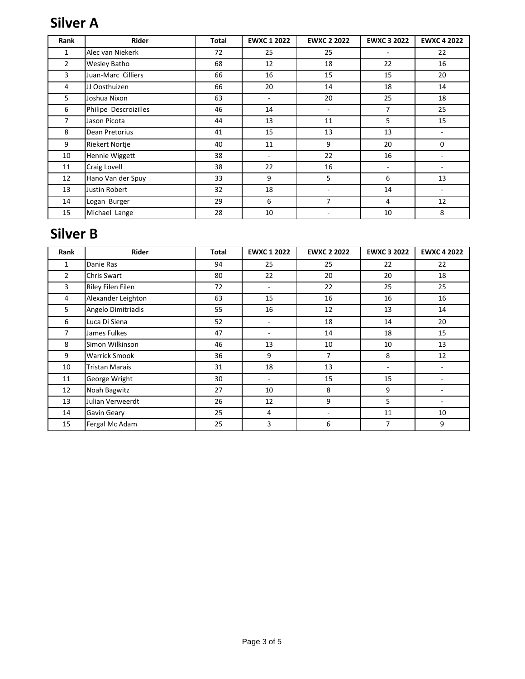## **Silver A**

| Rank           | Rider                 | <b>Total</b> | <b>EWXC 1 2022</b>       | <b>EWXC 2 2022</b> | <b>EWXC 3 2022</b>       | <b>EWXC 4 2022</b> |
|----------------|-----------------------|--------------|--------------------------|--------------------|--------------------------|--------------------|
| 1              | Alec van Niekerk      | 72           | 25                       | 25                 | $\overline{\phantom{a}}$ | 22                 |
| $\overline{2}$ | Wesley Batho          | 68           | 12                       | 18                 | 22                       | 16                 |
| 3              | Juan-Marc Cilliers    | 66           | 16                       | 15                 | 15                       | 20                 |
| 4              | JJ Oosthuizen         | 66           | 20                       | 14                 | 18                       | 14                 |
| 5              | Joshua Nixon          | 63           | $\overline{\phantom{a}}$ | 20                 | 25                       | 18                 |
| 6              | Philipe Descroizilles | 46           | 14                       |                    | 7                        | 25                 |
| 7              | Jason Picota          | 44           | 13                       | 11                 | 5                        | 15                 |
| 8              | Dean Pretorius        | 41           | 15                       | 13                 | 13                       |                    |
| 9              | <b>Riekert Nortje</b> | 40           | 11                       | 9                  | 20                       | 0                  |
| 10             | Hennie Wiggett        | 38           | $\overline{\phantom{a}}$ | 22                 | 16                       | ٠                  |
| 11             | Craig Lovell          | 38           | 22                       | 16                 | ٠                        |                    |
| 12             | Hano Van der Spuy     | 33           | 9                        | 5                  | 6                        | 13                 |
| 13             | Justin Robert         | 32           | 18                       |                    | 14                       | ٠                  |
| 14             | Logan Burger          | 29           | 6                        | 7                  | 4                        | 12                 |
| 15             | Michael Lange         | 28           | 10                       |                    | 10                       | 8                  |

#### **Silver B**

| Rank           | Rider                 | Total | <b>EWXC 1 2022</b> | <b>EWXC 2 2022</b> | <b>EWXC 3 2022</b>       | <b>EWXC 4 2022</b> |
|----------------|-----------------------|-------|--------------------|--------------------|--------------------------|--------------------|
| 1              | Danie Ras             | 94    | 25                 | 25                 | 22                       | 22                 |
| $\overline{2}$ | Chris Swart           | 80    | 22                 | 20                 | 20                       | 18                 |
| 3              | Riley Filen Filen     | 72    | $\blacksquare$     | 22                 | 25                       | 25                 |
| 4              | Alexander Leighton    | 63    | 15                 | 16                 | 16                       | 16                 |
| 5              | Angelo Dimitriadis    | 55    | 16                 | 12                 | 13                       | 14                 |
| 6              | Luca Di Siena         | 52    | ٠                  | 18                 | 14                       | 20                 |
| 7              | James Fulkes          | 47    |                    | 14                 | 18                       | 15                 |
| 8              | Simon Wilkinson       | 46    | 13                 | 10                 | 10                       | 13                 |
| 9              | <b>Warrick Smook</b>  | 36    | 9                  | $\overline{7}$     | 8                        | 12                 |
| 10             | <b>Tristan Marais</b> | 31    | 18                 | 13                 | $\overline{\phantom{a}}$ |                    |
| 11             | George Wright         | 30    | ٠                  | 15                 | 15                       |                    |
| 12             | Noah Bagwitz          | 27    | 10                 | 8                  | 9                        |                    |
| 13             | Julian Verweerdt      | 26    | 12                 | 9                  | 5                        |                    |
| 14             | Gavin Geary           | 25    | 4                  | ۰                  | 11                       | 10                 |
| 15             | Fergal Mc Adam        | 25    | 3                  | 6                  | 7                        | 9                  |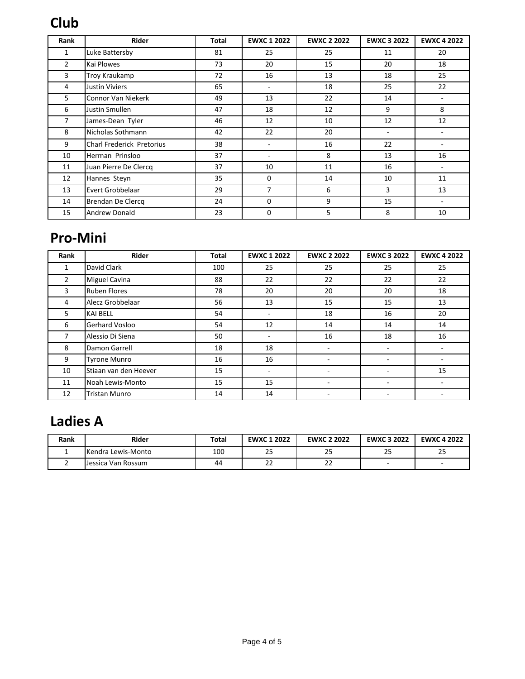## **Club**

| Rank           | Rider                     | <b>Total</b> | <b>EWXC 1 2022</b>       | <b>EWXC 2 2022</b> | <b>EWXC 3 2022</b>       | <b>EWXC 4 2022</b>       |
|----------------|---------------------------|--------------|--------------------------|--------------------|--------------------------|--------------------------|
| 1              | Luke Battersby            | 81           | 25                       | 25                 | 11                       | 20                       |
| $\overline{2}$ | Kai Plowes                | 73           | 20                       | 15                 | 20                       | 18                       |
| 3              | Troy Kraukamp             | 72           | 16                       | 13                 | 18                       | 25                       |
| 4              | <b>Justin Viviers</b>     | 65           | $\overline{\phantom{0}}$ | 18                 | 25                       | 22                       |
| 5              | Connor Van Niekerk        | 49           | 13                       | 22                 | 14                       | ۰                        |
| 6              | Justin Smullen            | 47           | 18                       | 12                 | 9                        | 8                        |
| 7              | James-Dean Tyler          | 46           | 12                       | 10                 | 12                       | 12                       |
| 8              | Nicholas Sothmann         | 42           | 22                       | 20                 | $\overline{\phantom{a}}$ |                          |
| 9              | Charl Frederick Pretorius | 38           |                          | 16                 | 22                       |                          |
| 10             | Herman Prinsloo           | 37           | ٠                        | 8                  | 13                       | 16                       |
| 11             | Juan Pierre De Clercq     | 37           | 10                       | 11                 | 16                       | $\overline{\phantom{a}}$ |
| 12             | Hannes Steyn              | 35           | 0                        | 14                 | 10                       | 11                       |
| 13             | Evert Grobbelaar          | 29           | 7                        | 6                  | 3                        | 13                       |
| 14             | Brendan De Clercq         | 24           | 0                        | 9                  | 15                       | $\overline{\phantom{a}}$ |
| 15             | <b>Andrew Donald</b>      | 23           | 0                        | 5                  | 8                        | 10                       |

## **Pro-Mini**

| Rank           | <b>Rider</b>          | <b>Total</b> | <b>EWXC 1 2022</b>       | <b>EWXC 2 2022</b> | <b>EWXC 3 2022</b> | <b>EWXC 4 2022</b> |
|----------------|-----------------------|--------------|--------------------------|--------------------|--------------------|--------------------|
| 1              | David Clark           | 100          | 25                       | 25                 | 25                 | 25                 |
| $\overline{2}$ | Miguel Cavina         | 88           | 22                       | 22                 | 22                 | 22                 |
| 3              | <b>Ruben Flores</b>   | 78           | 20                       | 20                 | 20                 | 18                 |
| 4              | Alecz Grobbelaar      | 56           | 13                       | 15                 | 15                 | 13                 |
| 5.             | <b>KAI BELL</b>       | 54           | ٠                        | 18                 | 16                 | 20                 |
| 6              | Gerhard Vosloo        | 54           | 12                       | 14                 | 14                 | 14                 |
| 7              | Alessio Di Siena      | 50           | $\overline{\phantom{0}}$ | 16                 | 18                 | 16                 |
| 8              | Damon Garrell         | 18           | 18                       |                    | ۰                  | ۰                  |
| 9              | <b>Tyrone Munro</b>   | 16           | 16                       |                    |                    |                    |
| 10             | Stiaan van den Heever | 15           |                          |                    |                    | 15                 |
| 11             | Noah Lewis-Monto      | 15           | 15                       |                    | ۰                  |                    |
| 12             | <b>Tristan Munro</b>  | 14           | 14                       |                    |                    |                    |

# **Ladies A**

| Rank | Rider              | Total | <b>EWXC 1 2022</b> | <b>EWXC 2 2022</b> | <b>EWXC 3 2022</b>       | <b>EWXC 4 2022</b> |
|------|--------------------|-------|--------------------|--------------------|--------------------------|--------------------|
|      | Kendra Lewis-Monto | 100   | رے                 | 25                 | 25                       | 25                 |
|      | Jessica Van Rossum | 44    | ے                  | $\sim$<br>ے۔       | $\overline{\phantom{a}}$ |                    |